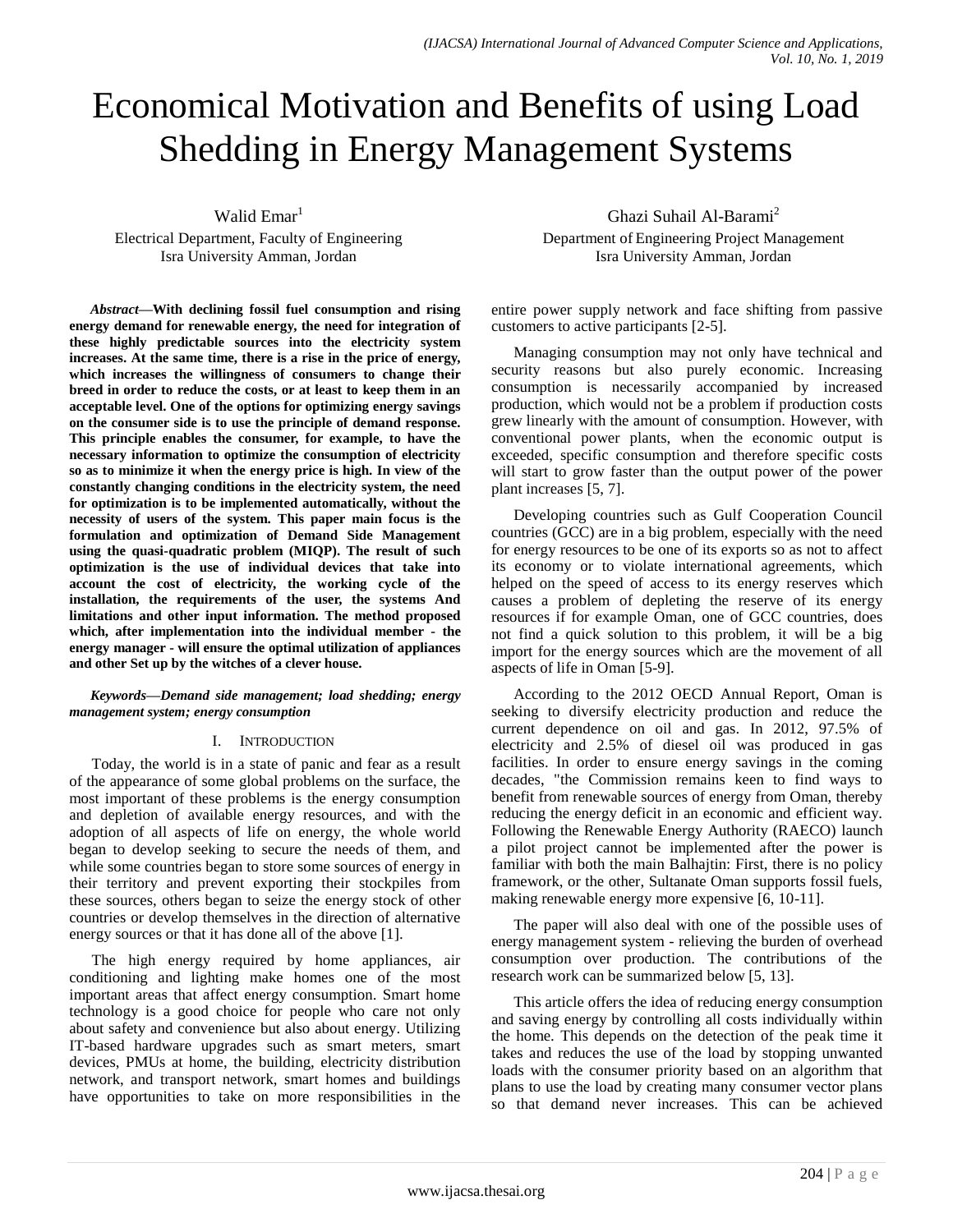# Economical Motivation and Benefits of using Load Shedding in Energy Management Systems

Walid Emar<sup>1</sup> Electrical Department, Faculty of Engineering Isra University Amman, Jordan

*Abstract***—With declining fossil fuel consumption and rising energy demand for renewable energy, the need for integration of these highly predictable sources into the electricity system increases. At the same time, there is a rise in the price of energy, which increases the willingness of consumers to change their breed in order to reduce the costs, or at least to keep them in an acceptable level. One of the options for optimizing energy savings on the consumer side is to use the principle of demand response. This principle enables the consumer, for example, to have the necessary information to optimize the consumption of electricity so as to minimize it when the energy price is high. In view of the constantly changing conditions in the electricity system, the need for optimization is to be implemented automatically, without the necessity of users of the system. This paper main focus is the formulation and optimization of Demand Side Management using the quasi-quadratic problem (MIQP). The result of such optimization is the use of individual devices that take into account the cost of electricity, the working cycle of the installation, the requirements of the user, the systems And limitations and other input information. The method proposed which, after implementation into the individual member - the energy manager - will ensure the optimal utilization of appliances and other Set up by the witches of a clever house.**

#### *Keywords—Demand side management; load shedding; energy management system; energy consumption*

### I. INTRODUCTION

Today, the world is in a state of panic and fear as a result of the appearance of some global problems on the surface, the most important of these problems is the energy consumption and depletion of available energy resources, and with the adoption of all aspects of life on energy, the whole world began to develop seeking to secure the needs of them, and while some countries began to store some sources of energy in their territory and prevent exporting their stockpiles from these sources, others began to seize the energy stock of other countries or develop themselves in the direction of alternative energy sources or that it has done all of the above [1].

The high energy required by home appliances, air conditioning and lighting make homes one of the most important areas that affect energy consumption. Smart home technology is a good choice for people who care not only about safety and convenience but also about energy. Utilizing IT-based hardware upgrades such as smart meters, smart devices, PMUs at home, the building, electricity distribution network, and transport network, smart homes and buildings have opportunities to take on more responsibilities in the

Ghazi Suhail Al-Barami<sup>2</sup> Department of Engineering Project Management Isra University Amman, Jordan

entire power supply network and face shifting from passive customers to active participants [2-5].

Managing consumption may not only have technical and security reasons but also purely economic. Increasing consumption is necessarily accompanied by increased production, which would not be a problem if production costs grew linearly with the amount of consumption. However, with conventional power plants, when the economic output is exceeded, specific consumption and therefore specific costs will start to grow faster than the output power of the power plant increases [5, 7].

Developing countries such as Gulf Cooperation Council countries (GCC) are in a big problem, especially with the need for energy resources to be one of its exports so as not to affect its economy or to violate international agreements, which helped on the speed of access to its energy reserves which causes a problem of depleting the reserve of its energy resources if for example Oman, one of GCC countries, does not find a quick solution to this problem, it will be a big import for the energy sources which are the movement of all aspects of life in Oman [5-9].

According to the 2012 OECD Annual Report, Oman is seeking to diversify electricity production and reduce the current dependence on oil and gas. In 2012, 97.5% of electricity and 2.5% of diesel oil was produced in gas facilities. In order to ensure energy savings in the coming decades, "the Commission remains keen to find ways to benefit from renewable sources of energy from Oman, thereby reducing the energy deficit in an economic and efficient way. Following the Renewable Energy Authority (RAECO) launch a pilot project cannot be implemented after the power is familiar with both the main Balhajtin: First, there is no policy framework, or the other, Sultanate Oman supports fossil fuels, making renewable energy more expensive [6, 10-11].

The paper will also deal with one of the possible uses of energy management system - relieving the burden of overhead consumption over production. The contributions of the research work can be summarized below [5, 13].

This article offers the idea of reducing energy consumption and saving energy by controlling all costs individually within the home. This depends on the detection of the peak time it takes and reduces the use of the load by stopping unwanted loads with the consumer priority based on an algorithm that plans to use the load by creating many consumer vector plans so that demand never increases. This can be achieved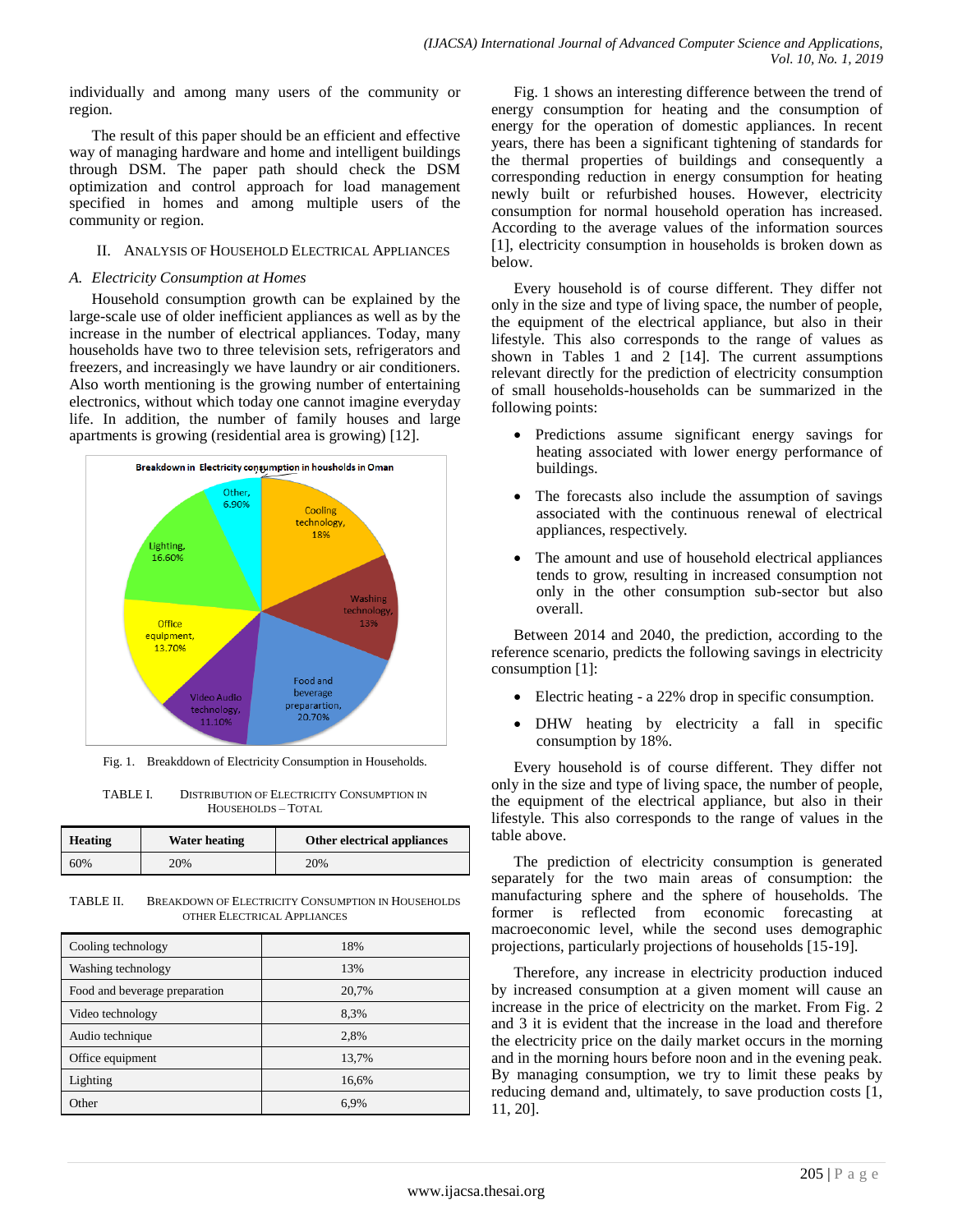individually and among many users of the community or region.

The result of this paper should be an efficient and effective way of managing hardware and home and intelligent buildings through DSM. The paper path should check the DSM optimization and control approach for load management specified in homes and among multiple users of the community or region.

### II. ANALYSIS OF HOUSEHOLD ELECTRICAL APPLIANCES

#### *A. Electricity Consumption at Homes*

Household consumption growth can be explained by the large-scale use of older inefficient appliances as well as by the increase in the number of electrical appliances. Today, many households have two to three television sets, refrigerators and freezers, and increasingly we have laundry or air conditioners. Also worth mentioning is the growing number of entertaining electronics, without which today one cannot imagine everyday life. In addition, the number of family houses and large apartments is growing (residential area is growing) [12].



Fig. 1. Breakddown of Electricity Consumption in Households.

| TABLE L | <b>DISTRIBUTION OF ELECTRICITY CONSUMPTION IN</b> |
|---------|---------------------------------------------------|
|         | HOUSEHOLDS - TOTAL                                |

| <b>Heating</b> | <b>Water heating</b> | Other electrical appliances |
|----------------|----------------------|-----------------------------|
| 60%            | 20%                  | 20%                         |

TABLE II. BREAKDOWN OF ELECTRICITY CONSUMPTION IN HOUSEHOLDS OTHER ELECTRICAL APPLIANCES

| Cooling technology            | 18%   |
|-------------------------------|-------|
| Washing technology            | 13%   |
| Food and beverage preparation | 20,7% |
| Video technology              | 8,3%  |
| Audio technique               | 2,8%  |
| Office equipment              | 13,7% |
| Lighting                      | 16,6% |
| Other                         | 6.9%  |

Fig. 1 shows an interesting difference between the trend of energy consumption for heating and the consumption of energy for the operation of domestic appliances. In recent years, there has been a significant tightening of standards for the thermal properties of buildings and consequently a corresponding reduction in energy consumption for heating newly built or refurbished houses. However, electricity consumption for normal household operation has increased. According to the average values of the information sources [1], electricity consumption in households is broken down as below.

Every household is of course different. They differ not only in the size and type of living space, the number of people, the equipment of the electrical appliance, but also in their lifestyle. This also corresponds to the range of values as shown in Tables 1 and 2 [14]. The current assumptions relevant directly for the prediction of electricity consumption of small households-households can be summarized in the following points:

- Predictions assume significant energy savings for heating associated with lower energy performance of buildings.
- The forecasts also include the assumption of savings associated with the continuous renewal of electrical appliances, respectively.
- The amount and use of household electrical appliances tends to grow, resulting in increased consumption not only in the other consumption sub-sector but also overall.

Between 2014 and 2040, the prediction, according to the reference scenario, predicts the following savings in electricity consumption [1]:

- Electric heating a 22% drop in specific consumption.
- DHW heating by electricity a fall in specific consumption by 18%.

Every household is of course different. They differ not only in the size and type of living space, the number of people, the equipment of the electrical appliance, but also in their lifestyle. This also corresponds to the range of values in the table above.

The prediction of electricity consumption is generated separately for the two main areas of consumption: the manufacturing sphere and the sphere of households. The former is reflected from economic forecasting at macroeconomic level, while the second uses demographic projections, particularly projections of households [15-19].

Therefore, any increase in electricity production induced by increased consumption at a given moment will cause an increase in the price of electricity on the market. From Fig. 2 and 3 it is evident that the increase in the load and therefore the electricity price on the daily market occurs in the morning and in the morning hours before noon and in the evening peak. By managing consumption, we try to limit these peaks by reducing demand and, ultimately, to save production costs [1, 11, 20].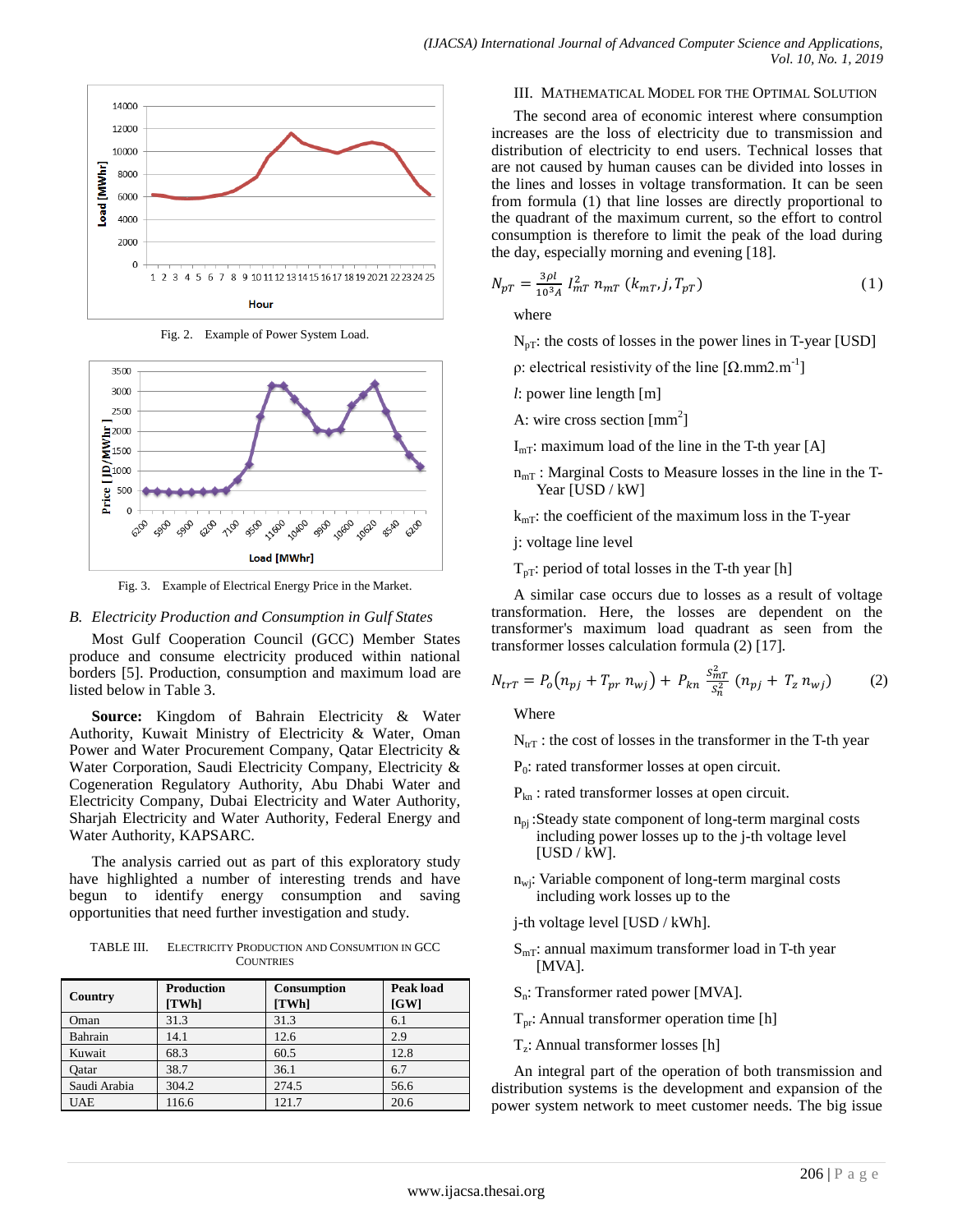

Fig. 2. Example of Power System Load.



Fig. 3. Example of Electrical Energy Price in the Market.

### *B. Electricity Production and Consumption in Gulf States*

Most Gulf Cooperation Council (GCC) Member States produce and consume electricity produced within national borders [5]. Production, consumption and maximum load are listed below in Table 3.

**Source:** Kingdom of Bahrain Electricity & Water Authority, Kuwait Ministry of Electricity & Water, Oman Power and Water Procurement Company, Qatar Electricity & Water Corporation, Saudi Electricity Company, Electricity & Cogeneration Regulatory Authority, Abu Dhabi Water and Electricity Company, Dubai Electricity and Water Authority, Sharjah Electricity and Water Authority, Federal Energy and Water Authority, KAPSARC.

The analysis carried out as part of this exploratory study have highlighted a number of interesting trends and have begun to identify energy consumption and saving opportunities that need further investigation and study.

TABLE III. ELECTRICITY PRODUCTION AND CONSUMTION IN GCC **COUNTRIES** 

| Country      | <b>Production</b><br>[TWh] | <b>Consumption</b><br>[TWh] | <b>Peak load</b><br>[GW] |  |  |
|--------------|----------------------------|-----------------------------|--------------------------|--|--|
| Oman         | 31.3                       | 31.3                        | 6.1                      |  |  |
| Bahrain      | 14.1                       | 12.6                        | 2.9                      |  |  |
| Kuwait       | 68.3                       | 60.5                        | 12.8                     |  |  |
| Oatar        | 38.7                       | 36.1                        | 6.7                      |  |  |
| Saudi Arabia | 304.2                      | 274.5                       | 56.6                     |  |  |
| <b>UAE</b>   | 116.6                      | 121.7                       | 20.6                     |  |  |

#### III. MATHEMATICAL MODEL FOR THE OPTIMAL SOLUTION

The second area of economic interest where consumption increases are the loss of electricity due to transmission and distribution of electricity to end users. Technical losses that are not caused by human causes can be divided into losses in the lines and losses in voltage transformation. It can be seen from formula (1) that line losses are directly proportional to the quadrant of the maximum current, so the effort to control consumption is therefore to limit the peak of the load during the day, especially morning and evening [18].

$$
N_{pT} = \frac{3\rho l}{10^3 A} I_{mT}^2 n_{mT} (k_{mT}, j, T_{pT})
$$
 (1)

where

 $N_{pT}$ : the costs of losses in the power lines in T-year [USD]

ρ: electrical resistivity of the line  $[Ω.mm2.m^{-1}]$ 

- *l*: power line length [m]
- A: wire cross section  $\text{[mm}^2\text{]}$
- $I<sub>mT</sub>$ : maximum load of the line in the T-th year [A]
- $n_{mT}$ : Marginal Costs to Measure losses in the line in the T-Year [USD / kW]
- $k<sub>mT</sub>$ : the coefficient of the maximum loss in the T-year
- j: voltage line level
- $T_{pT}$ : period of total losses in the T-th year [h]

A similar case occurs due to losses as a result of voltage transformation. Here, the losses are dependent on the transformer's maximum load quadrant as seen from the transformer losses calculation formula (2) [17].

$$
N_{trT} = P_o(n_{pj} + T_{pr} n_{wj}) + P_{kn} \frac{S_{mT}^2}{S_n^2} (n_{pj} + T_z n_{wj})
$$
 (2)

Where

 $N_{\text{tr}T}$ : the cost of losses in the transformer in the T-th year

P<sub>0</sub>: rated transformer losses at open circuit.

- Pkn : rated transformer losses at open circuit.
- $n_{pi}$ : Steady state component of long-term marginal costs including power losses up to the j-th voltage level  $[USD/kW].$
- $n_{\text{wi}}$ : Variable component of long-term marginal costs including work losses up to the
- j-th voltage level [USD / kWh].
- $S<sub>mT</sub>$ : annual maximum transformer load in T-th year [MVA].
- Sn: Transformer rated power [MVA].
- $T_{pr}$ : Annual transformer operation time [h]
- Tz : Annual transformer losses [h]

An integral part of the operation of both transmission and distribution systems is the development and expansion of the power system network to meet customer needs. The big issue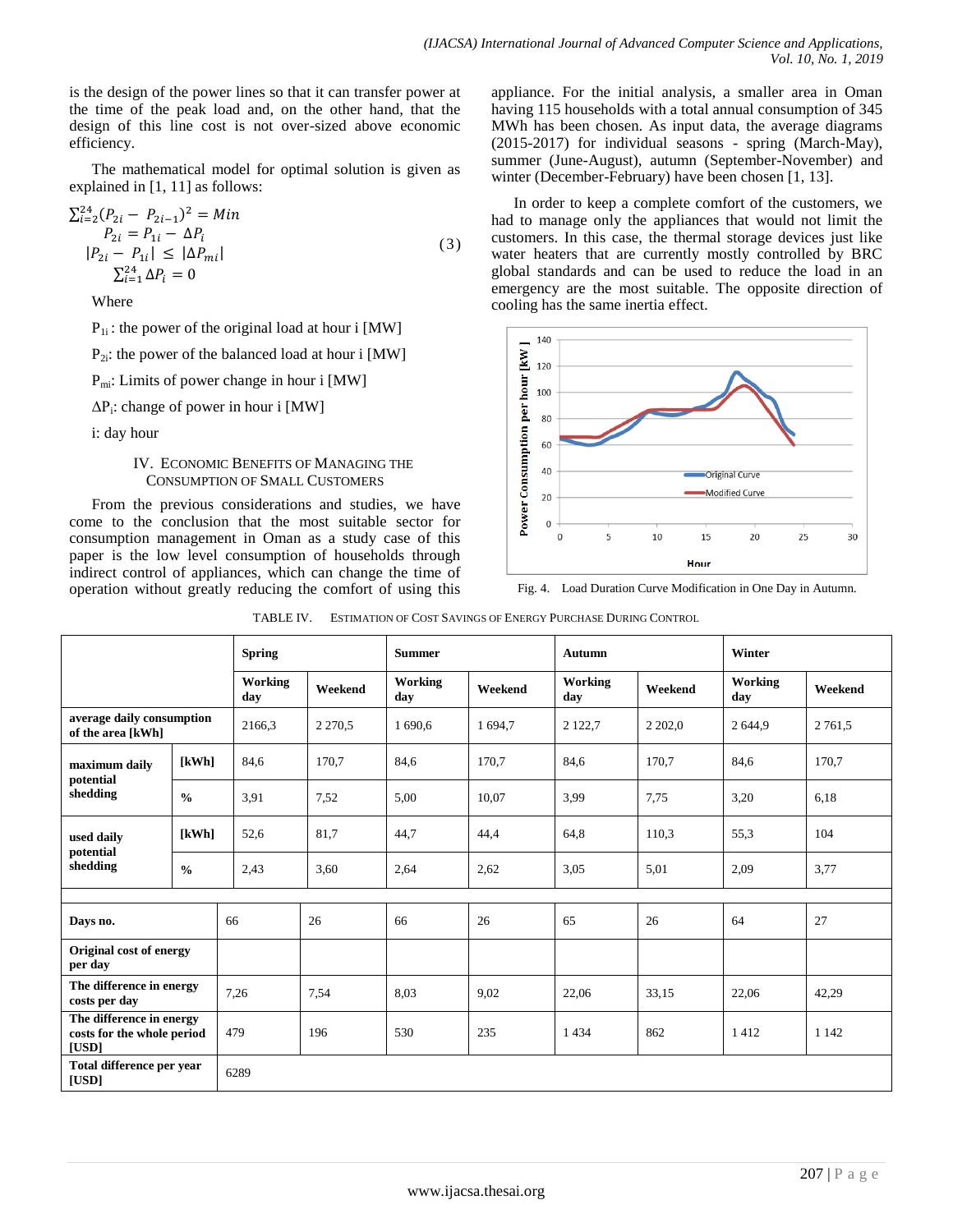is the design of the power lines so that it can transfer power at the time of the peak load and, on the other hand, that the design of this line cost is not over-sized above economic efficiency.

The mathematical model for optimal solution is given as explained in [1, 11] as follows:

$$
\sum_{i=2}^{24} (P_{2i} - P_{2i-1})^2 = Min
$$
  
\n
$$
P_{2i} = P_{1i} - \Delta P_i
$$
  
\n
$$
|P_{2i} - P_{1i}| \le |\Delta P_{mi}|
$$
  
\n
$$
\sum_{i=1}^{24} \Delta P_i = 0
$$
\n(3)

Where

 $P_{1i}$ : the power of the original load at hour i [MW]

 $P_{2i}$ : the power of the balanced load at hour i [MW]

 $P<sub>mi</sub>: Limits of power change in hour i [MW]$ 

ΔP<sup>i</sup> : change of power in hour i [MW]

i: day hour

### IV. ECONOMIC BENEFITS OF MANAGING THE CONSUMPTION OF SMALL CUSTOMERS

From the previous considerations and studies, we have come to the conclusion that the most suitable sector for consumption management in Oman as a study case of this paper is the low level consumption of households through indirect control of appliances, which can change the time of operation without greatly reducing the comfort of using this appliance. For the initial analysis, a smaller area in Oman having 115 households with a total annual consumption of 345 MWh has been chosen. As input data, the average diagrams (2015-2017) for individual seasons - spring (March-May), summer (June-August), autumn (September-November) and winter (December-February) have been chosen [1, 13].

In order to keep a complete comfort of the customers, we had to manage only the appliances that would not limit the customers. In this case, the thermal storage devices just like water heaters that are currently mostly controlled by BRC global standards and can be used to reduce the load in an emergency are the most suitable. The opposite direction of cooling has the same inertia effect.



Fig. 4. Load Duration Curve Modification in One Day in Autumn.

|                                                                 |               | <b>Spring</b>  |           | <b>Summer</b>  |         | <b>Autumn</b>  |           | Winter         |            |
|-----------------------------------------------------------------|---------------|----------------|-----------|----------------|---------|----------------|-----------|----------------|------------|
|                                                                 |               | Working<br>day | Weekend   | Working<br>day | Weekend | Working<br>day | Weekend   | Working<br>day | Weekend    |
| average daily consumption<br>of the area [kWh]                  |               | 2166,3         | 2 2 7 0.5 | 1 690,6        | 1 694,7 | 2 1 2 2 , 7    | 2 2 0 2 0 | 2644,9         | 2 7 6 1 .5 |
| maximum daily<br>potential<br>shedding                          | [kWh]         | 84,6           | 170.7     | 84,6           | 170,7   | 84,6           | 170.7     | 84,6           | 170,7      |
|                                                                 | $\frac{0}{0}$ | 3.91           | 7,52      | 5,00           | 10.07   | 3.99           | 7.75      | 3,20           | 6,18       |
| used daily<br>potential<br>shedding                             | [kWh]         | 52,6           | 81,7      | 44.7           | 44,4    | 64,8           | 110.3     | 55.3           | 104        |
|                                                                 | $\frac{0}{0}$ | 2,43           | 3.60      | 2,64           | 2,62    | 3,05           | 5,01      | 2,09           | 3,77       |
|                                                                 |               |                |           |                |         |                |           |                |            |
| Days no.                                                        |               | 66             | 26        | 66             | 26      | 65             | 26        | 64             | 27         |
| Original cost of energy<br>per day                              |               |                |           |                |         |                |           |                |            |
| The difference in energy<br>costs per day                       |               | 7,26           | 7,54      | 8,03           | 9,02    | 22,06          | 33,15     | 22,06          | 42,29      |
| The difference in energy<br>costs for the whole period<br>[USD] |               | 479            | 196       | 530            | 235     | 1434           | 862       | 1412           | 1 1 4 2    |
| Total difference per year<br>6289<br>[USD]                      |               |                |           |                |         |                |           |                |            |

| TABLE IV. | ESTIMATION OF COST SAVINGS OF ENERGY PURCHASE DURING CONTROL |
|-----------|--------------------------------------------------------------|
|           |                                                              |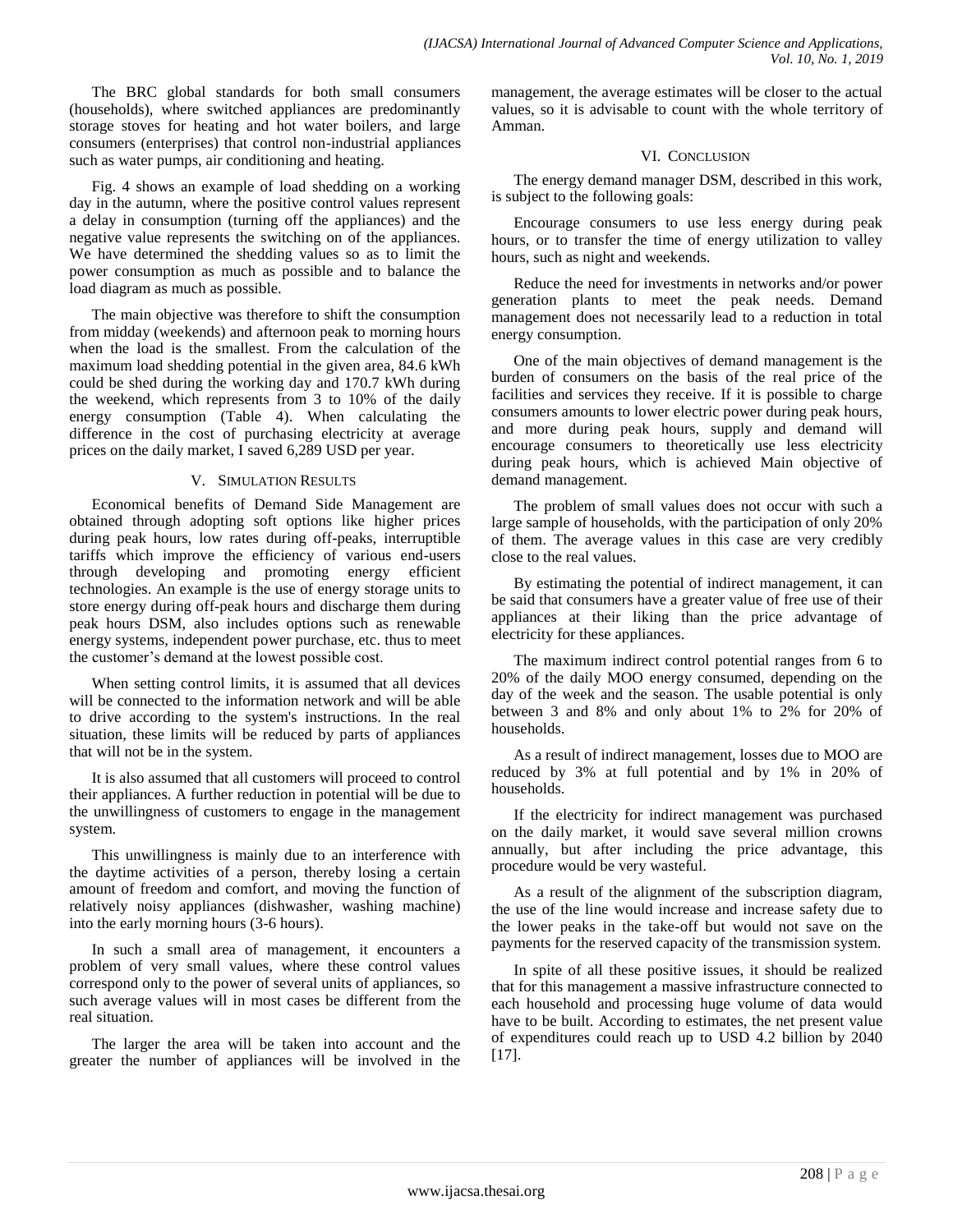The BRC global standards for both small consumers (households), where switched appliances are predominantly storage stoves for heating and hot water boilers, and large consumers (enterprises) that control non-industrial appliances such as water pumps, air conditioning and heating.

Fig. 4 shows an example of load shedding on a working day in the autumn, where the positive control values represent a delay in consumption (turning off the appliances) and the negative value represents the switching on of the appliances. We have determined the shedding values so as to limit the power consumption as much as possible and to balance the load diagram as much as possible.

The main objective was therefore to shift the consumption from midday (weekends) and afternoon peak to morning hours when the load is the smallest. From the calculation of the maximum load shedding potential in the given area, 84.6 kWh could be shed during the working day and 170.7 kWh during the weekend, which represents from 3 to 10% of the daily energy consumption (Table 4). When calculating the difference in the cost of purchasing electricity at average prices on the daily market, I saved 6,289 USD per year.

# V. SIMULATION RESULTS

Economical benefits of Demand Side Management are obtained through adopting soft options like higher prices during peak hours, low rates during off-peaks, interruptible tariffs which improve the efficiency of various end-users through developing and promoting energy efficient technologies. An example is the use of energy storage units to store energy during off-peak hours and discharge them during peak hours DSM, also includes options such as renewable energy systems, independent power purchase, etc. thus to meet the customer's demand at the lowest possible cost.

When setting control limits, it is assumed that all devices will be connected to the information network and will be able to drive according to the system's instructions. In the real situation, these limits will be reduced by parts of appliances that will not be in the system.

It is also assumed that all customers will proceed to control their appliances. A further reduction in potential will be due to the unwillingness of customers to engage in the management system.

This unwillingness is mainly due to an interference with the daytime activities of a person, thereby losing a certain amount of freedom and comfort, and moving the function of relatively noisy appliances (dishwasher, washing machine) into the early morning hours (3-6 hours).

In such a small area of management, it encounters a problem of very small values, where these control values correspond only to the power of several units of appliances, so such average values will in most cases be different from the real situation.

The larger the area will be taken into account and the greater the number of appliances will be involved in the management, the average estimates will be closer to the actual values, so it is advisable to count with the whole territory of Amman.

# VI. CONCLUSION

The energy demand manager DSM, described in this work, is subject to the following goals:

Encourage consumers to use less energy during peak hours, or to transfer the time of energy utilization to valley hours, such as night and weekends.

Reduce the need for investments in networks and/or power generation plants to meet the peak needs. Demand management does not necessarily lead to a reduction in total energy consumption.

One of the main objectives of demand management is the burden of consumers on the basis of the real price of the facilities and services they receive. If it is possible to charge consumers amounts to lower electric power during peak hours, and more during peak hours, supply and demand will encourage consumers to theoretically use less electricity during peak hours, which is achieved Main objective of demand management.

The problem of small values does not occur with such a large sample of households, with the participation of only 20% of them. The average values in this case are very credibly close to the real values.

By estimating the potential of indirect management, it can be said that consumers have a greater value of free use of their appliances at their liking than the price advantage of electricity for these appliances.

The maximum indirect control potential ranges from 6 to 20% of the daily MOO energy consumed, depending on the day of the week and the season. The usable potential is only between 3 and 8% and only about 1% to 2% for 20% of households.

As a result of indirect management, losses due to MOO are reduced by 3% at full potential and by 1% in 20% of households.

If the electricity for indirect management was purchased on the daily market, it would save several million crowns annually, but after including the price advantage, this procedure would be very wasteful.

As a result of the alignment of the subscription diagram, the use of the line would increase and increase safety due to the lower peaks in the take-off but would not save on the payments for the reserved capacity of the transmission system.

In spite of all these positive issues, it should be realized that for this management a massive infrastructure connected to each household and processing huge volume of data would have to be built. According to estimates, the net present value of expenditures could reach up to USD 4.2 billion by 2040 [17].